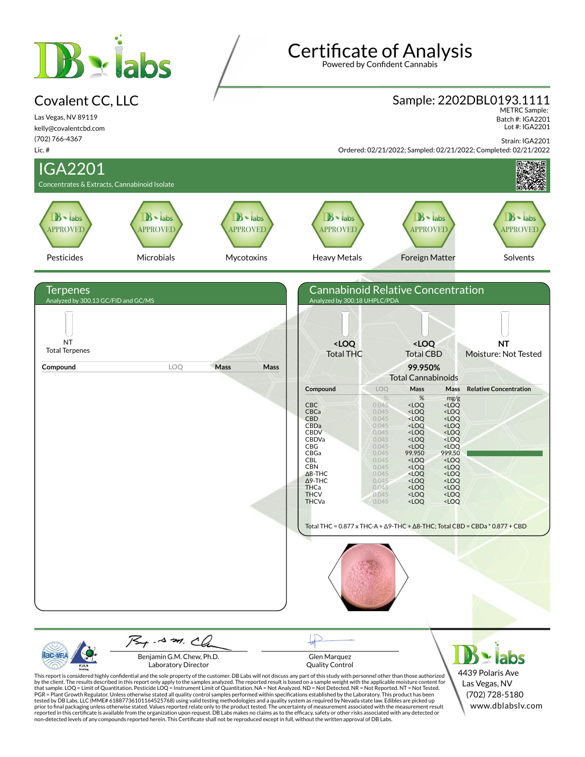# $B \cdot$ iabs

#### Covalent CC, LLC

Las Vegas, NV 89119 kelly@covalentcbd.com (702) 766-4367

# **Certificate of Analysis**

Powered by Confident Cannabis

# Sample: 2202DBL0193.1111 METRC Sample:

 Batch #: IGA2201 Lot #: IGA2201

Strain: IGA2201



| $\mathcal{A}$ m $\mathcal{A}$<br>Benjamin G.M. Chew, Ph.D.<br>Laboratory Director                                                                       | Glen Marquez<br><b>Ouality Control</b>                                                                                                                                                                                                                                                                                                                                                                                                                                                                                                                                                                                                                                                                                                                                                                                                                                                                                                                                                                                                                                                                                                                                                                                                                      | $\mathbf{B}$ - labs                                                     |
|---------------------------------------------------------------------------------------------------------------------------------------------------------|-------------------------------------------------------------------------------------------------------------------------------------------------------------------------------------------------------------------------------------------------------------------------------------------------------------------------------------------------------------------------------------------------------------------------------------------------------------------------------------------------------------------------------------------------------------------------------------------------------------------------------------------------------------------------------------------------------------------------------------------------------------------------------------------------------------------------------------------------------------------------------------------------------------------------------------------------------------------------------------------------------------------------------------------------------------------------------------------------------------------------------------------------------------------------------------------------------------------------------------------------------------|-------------------------------------------------------------------------|
| non-detected levels of any compounds reported herein. This Certificate shall not be reproduced except in full, without the written approval of DB Labs. | This report is considered highly confidential and the sole property of the customer. DB Labs will not discuss any part of this study with personnel other than those authorized<br>by the client. The results described in this report only apply to the samples analyzed. The reported result is based on a sample weight with the applicable moisture content for<br>that sample, LOO = Limit of Quantitation, Pesticide LOO = Instrument Limit of Quantitation, NA = Not Analyzed, ND = Not Detected, NR = Not Reported, NT = Not Tested,<br>PGR = Plant Growth Regulator. Unless otherwise stated all quality control samples performed within specifications established by the Laboratory. This product has been<br>tested by DB Labs, LLC (MME# 61887736101164525768) using valid testing methodologies and a quality system as required by Nevada state law. Edibles are picked up<br>prior to final packaging unless otherwise stated. Values reported relate only to the product tested. The uncertainty of measurement associated with the measurement result<br>reported in this certificate is available from the organization upon request. DB Labs makes no claims as to the efficacy, safety or other risks associated with any detected or | 4439 Polaris Ave<br>Las Vegas, NV<br>(702) 728-5180<br>www.dblabsly.com |